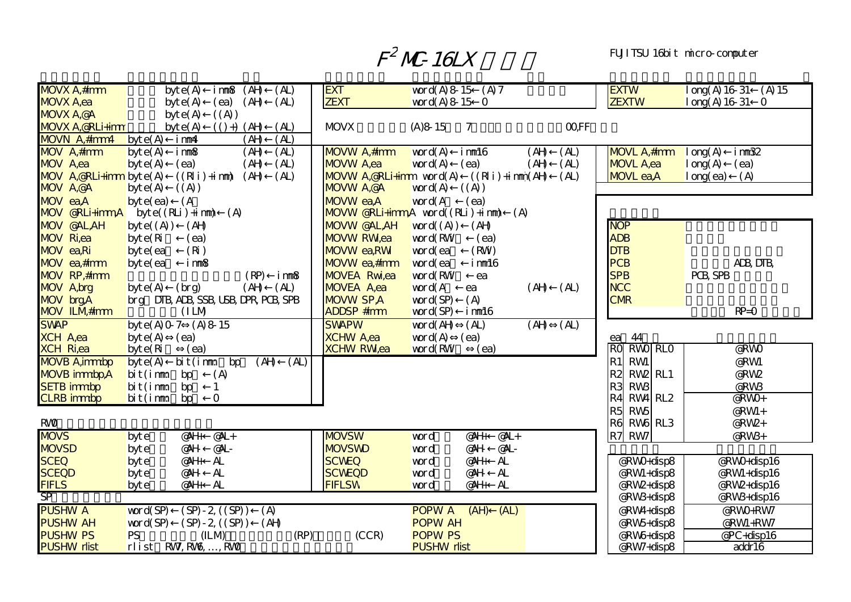## $F^2$  MC-16LX

## FUJITSU 16bit micro-computer

| <b>MOVX A,#imm</b>                     | byte(A)<br>(H)<br>(A <sub>L</sub> )<br>i mm8                                                                  | <b>EXT</b>                     | word(A) $8\ 15$ (A) $7$                                                 | <b>EXTW</b>                           | $\log(A)$ 16 31<br>$(A)$ 15 |
|----------------------------------------|---------------------------------------------------------------------------------------------------------------|--------------------------------|-------------------------------------------------------------------------|---------------------------------------|-----------------------------|
| <b>MOVX A,ea</b>                       | (AH)<br>(A <sub>L</sub> )<br>byt $e(A)$<br>(ea)                                                               | <b>ZEXT</b>                    | word $(A)$ 8 15 0                                                       | <b>ZEXTW</b>                          | log(A) 16 31 0              |
| <b>NDVX A,@A</b>                       | ((A))<br>byt $e(A)$                                                                                           |                                |                                                                         |                                       |                             |
| <b>MOVX A,@RLi+imm</b>                 | byt $e(A)$<br>$(( ) + )$ $(AH)$<br>(A <sub>L</sub> )                                                          | <b>MOVX</b>                    | <b>COFF</b><br>$(A)8 - 15$<br>7                                         |                                       |                             |
| MOVN A,#imm4                           | $(\overline{A})$<br>(AH)<br>byte(A)<br>imm4                                                                   |                                |                                                                         |                                       |                             |
| <b>MDV</b> A,#imm                      | byte(A)<br>(A <sub>L</sub> )<br>imm <sup>8</sup><br>(AH)                                                      | MOVW A,#imm                    | word(A)<br>imm <sup>16</sup><br>(AH)<br>(A <sub>L</sub> )               | <b>NOVL A,#imm</b>                    | long(A)<br>imm32            |
| MOV A,ea                               | byte(A)<br>(ea)<br>(AH)<br>(A <sub>L</sub> )                                                                  | MOVW A,ea                      | (A <sub>L</sub> )<br>word $(A)$<br>(AH)<br>(ea)                         | <b>MOVL A,ea</b>                      | long(A)<br>(ea)             |
| <b>NOV</b> A, <b>@RLi+imm</b> byt e(A) | $((R i) + i nm)$<br>(AH)<br>(A <sub>L</sub> )                                                                 | <b>NOVW A,@RLi+imm</b> word(A) | $((R i) + i m n)$<br>(A <sub>L</sub> )                                  | <b>MOVL</b> ea,A                      | long(ea)<br>(A)             |
| <b>NOV A,@A</b>                        | byte(A)<br>((A))                                                                                              | <b>NDVW A,@A</b>               | word(A)<br>((A))                                                        |                                       |                             |
| MOV ea,A                               | (A)<br>byte(ea)                                                                                               | <b>NOVW</b> ea,A               | word(A<br>(ea)                                                          |                                       |                             |
| <b>MOV @RLi+immA</b>                   | (A)<br>$byte((RLi) + im)$                                                                                     |                                | <b>NOVW @RLi+imm,A</b> word((RLi)+imm)<br>(A)                           |                                       |                             |
| <b>NOV @AL,AH</b>                      | byte $(A)$<br>(AH)                                                                                            | <b>NOVW @AL,AH</b>             | word $(A)$<br>(AH)                                                      | <b>NOP</b>                            |                             |
| <b>MDV</b> Ri,ea                       | byte(Ri)<br>(ea)                                                                                              | <b>MDVW RWea</b>               | word(RW<br>(ea)                                                         | <b>ADB</b>                            |                             |
| MOV ea,Ri                              | (Ri)<br>byte(ea)                                                                                              | <b>NDVW</b> ea, RW             | (RW)<br>word(ea                                                         | <b>DTB</b>                            |                             |
| MDV ea,#imm                            | i mm8<br>byte(ea)                                                                                             | MOVW ea,#imm                   | word(ea<br>imm <sup>16</sup>                                            | PCB                                   | ADB DTB                     |
| MDV RP,#imm                            | (RP)<br>imm <sup>8</sup>                                                                                      | <b>MDVEA Rwiea</b>             | word(RW<br>ea                                                           | <b>SPB</b>                            | PCB SPB                     |
| MDV A, brg                             | (AH)<br>(A <sub>L</sub> )<br>byte(A)<br>(hrg)                                                                 | MOVEA A,ea                     | word(A<br>(H)<br>(A <sub>L</sub> )<br>ea                                | <b>NCC</b>                            |                             |
| MOV brgA                               | brg DIB, ADB, SSB, USB, DPR, PCB, SPB                                                                         | <b>NOVW SPA</b>                | (A)<br>word(SP)                                                         | <b>CMR</b>                            |                             |
| <b>NDV ILM#imm</b>                     | (IM)                                                                                                          | <b>ADDSP #imm</b>              | word(SP)<br>imm <sup>16</sup>                                           |                                       | $RP = 0$                    |
| <b>SWAP</b>                            | byte(A) $0\overline{7}$<br>(A) 8 15                                                                           | <b>SWAPW</b>                   | word( $\overline{AH}$<br>(A <sub>L</sub> )<br>(AH)<br>(A <sub>L</sub> ) |                                       |                             |
| <b>XCH A,ea</b>                        | byte(A)<br>(ea)                                                                                               | <b>XCHW A,ea</b>               | word $(A)$<br>(ea)                                                      | 44<br>ea                              |                             |
| <b>XCH Ri,ea</b>                       | byte(Ri)<br>(ea)                                                                                              | <b>XCHW RWea</b>               | word(RW<br>(ea)                                                         | <b>RWO RLO</b><br><b>RO</b>           | @RWO                        |
| <b>MDVB A</b> , immbp                  | (AH)<br>byte(A)<br>$\mathrm{bi}\, \mathrm{t}\, \mathrm{(}\mathrm{i}\, \mathrm{mm}$<br>bp<br>(A <sub>L</sub> ) |                                |                                                                         | <b>RW</b><br>R <sub>1</sub>           | @RWI                        |
| <b>MDVB</b> immbp,A                    | bit(imm<br>(A)<br>bp                                                                                          |                                |                                                                         | R <sub>2</sub><br>RW <sub>2</sub> RL1 | @RW2                        |
| <b>SETB</b> immbp                      | bit(imm<br>bp                                                                                                 |                                |                                                                         | R3<br><b>RW3</b>                      | @RW <sub>3</sub>            |
| <b>CLRB</b> immbp                      | $\mathbf{O}$<br>bit(imn<br>bp                                                                                 |                                |                                                                         | $RWA$ RL2<br>R4                       | @RWO+                       |
|                                        |                                                                                                               |                                |                                                                         | <b>RW<sub>5</sub></b><br>R5           | @RWI+                       |
| RVØ                                    |                                                                                                               |                                |                                                                         | RW <sub>b</sub> RL3<br>R6             | @RW2+                       |
| <b>MDVS</b>                            | $@4L +$<br>@4H<br>byte                                                                                        | <b>MOVSW</b>                   | @A<br>$@$ H<br>word                                                     | RW7<br>R7                             | @RW3+                       |
| <b>MOVSD</b>                           | @AL-<br>@AH<br>byte                                                                                           | <b>MOVSWD</b>                  | @AL-<br>@AH<br>word                                                     |                                       |                             |
| <b>SCEQ</b>                            | AL<br>@AH+<br>byte                                                                                            | <b>SCWEQ</b>                   | AL<br>@AH+<br>word                                                      | @RWO+disp8                            | @RWO+disp16                 |
| <b>SCEQD</b>                           | AL<br>@AH<br>byte                                                                                             | <b>SCWEQD</b>                  | @AH<br>AL<br>word                                                       | @RWI+disp8                            | @RWI+disp16                 |
| <b>FIFLS</b><br>$S\overline{P}$        | $\mathbf{A}$<br>@AH+<br>byte                                                                                  | <b>FIFLSW</b>                  | AL<br>@AH+<br>word                                                      | @RW2+disp8                            | @RW2+disp16                 |
|                                        |                                                                                                               |                                |                                                                         | @RW3+disp8                            | @RW3+disp16                 |
| <b>PUSHW A</b>                         | word(SP)<br>$(SP) - 2$ $(SP)$<br>(A)                                                                          |                                | <b>POPWA</b><br>(AH)<br>(AL)                                            | @RW4+disp8                            | @RWO+RW7                    |
| <b>PUSHW AH</b>                        | $(SP) - 2$ $(SP)$<br>(AH)<br>word(SP)                                                                         |                                | <b>POPW AH</b>                                                          | @RW5+disp8                            | @RWI+RW7                    |
| <b>PUSHW PS</b><br><b>PUSHW rlist</b>  | <b>PS</b><br>(ILM)<br>(RP)<br>rlist RW, RW, , RW                                                              | (CCR)                          | <b>POPW PS</b><br><b>PUSHW rlist</b>                                    | @RW6+disp8                            | @PC+disp16                  |
|                                        |                                                                                                               |                                |                                                                         | @RW7+disp8                            | addr16                      |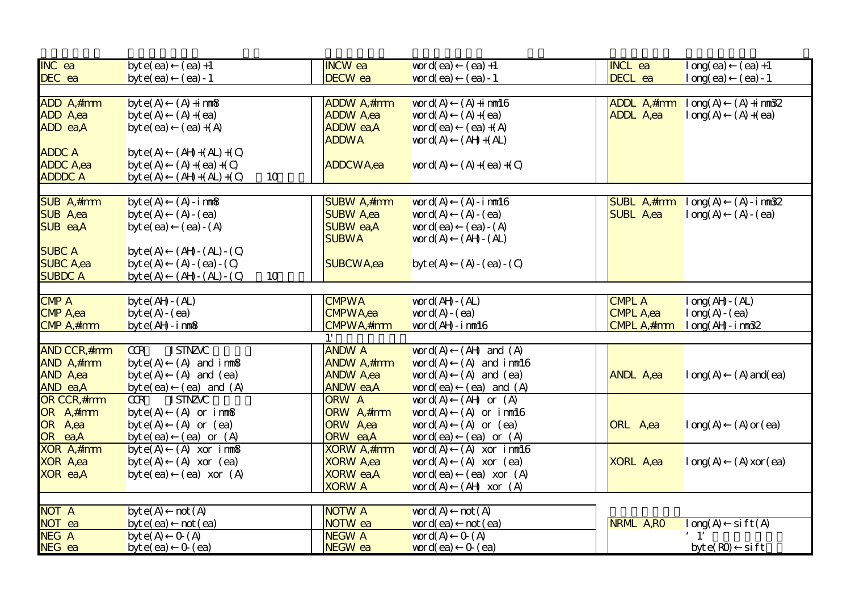| <b>INC</b> ea       | byte(ea)<br>$(ea) +1$                                            | <b>INCW</b> ea      | word(ea)<br>$(ea) +1$                                        | <b>INCL ea</b>               | long(ea)<br>$(ea) + 1$       |
|---------------------|------------------------------------------------------------------|---------------------|--------------------------------------------------------------|------------------------------|------------------------------|
| DEC ea              | $(ea) - 1$<br>byte(ea)                                           | DECW ea             | word(ea)<br>$(ea) - 1$                                       | DECL ea                      | long(ea)<br>$(ea) - 1$       |
|                     |                                                                  |                     |                                                              |                              |                              |
| ADD A,#imm          | $(A) + i$ mm $\delta$<br>byte(A)                                 | ADDW A,#imm         | word(A)<br>$(A) + i$ mm $16$                                 | <b>ADDL A,#imm</b> $\log(A)$ | $(A) + i$ mm $B2$            |
| ADD A,ea            | byte(A)<br>$(A) + (ea)$                                          | <b>ADDW A,ea</b>    | word(A)<br>$(A) + (ea)$                                      | <b>ADDL</b> A,ea             | $(A) + (ea)$<br>long(A)      |
| ADD ea,A            | byte(ea)<br>$(ea)+(A)$                                           | <b>ADDW</b> ea,A    | word(ea)<br>$(ea)+(A)$                                       |                              |                              |
|                     |                                                                  | <b>ADDWA</b>        | word $(A)$<br>$(AH + (AL))$                                  |                              |                              |
| <b>ADDC A</b>       | $(AH + (AL) + (O)$<br>byte(A)                                    |                     |                                                              |                              |                              |
| <b>ADDC A,ea</b>    | byte(A)<br>$(A) + (ea) + (C)$                                    | ADDCWA,ea           | word $(A)$<br>$(A) + (ea) + (C)$                             |                              |                              |
| <b>ADDDC A</b>      | byte(A)<br>$(AH + (AL) + (O)$<br>10                              |                     |                                                              |                              |                              |
|                     |                                                                  |                     |                                                              |                              |                              |
| SUB A,#imm          | $(A) - i$ mm $\delta$<br>byte(A)                                 | <b>SUBW A</b> ,#imm | word(A)<br>$(A) - i$ mm $16$                                 | SUBL A,#imm                  | $(A) - i$ mm $B2$<br>long(A) |
| <b>SUB A,ea</b>     | byte(A)<br>$(A) - (ea)$                                          | <b>SUBW A,ea</b>    | word(A)<br>$(A - (ea)$                                       | <b>SUBL A,ea</b>             | $(A) - (ea)$<br>long(A)      |
| SUB ea,A            | byte(ea)<br>$(ea) - (A)$                                         | <b>SUBW</b> ea,A    | word(ea)<br>$(ea) - (A)$                                     |                              |                              |
|                     |                                                                  | <b>SUBWA</b>        | word(A)<br>$(AH - (AL))$                                     |                              |                              |
| <b>SUBC A</b>       | byte(A)<br>$(AH - (AL) - (O))$                                   |                     |                                                              |                              |                              |
| <b>SUBC A,ea</b>    | $(A) - (ea) - (C)$<br>byte(A)                                    | SUBCWA,ea           | byte(A)<br>$(A) - (ea) - (C)$                                |                              |                              |
| <b>SUBDC A</b>      | byte(A)<br>$(AH - (AL) - (O))$<br>10                             |                     |                                                              |                              |                              |
|                     |                                                                  |                     |                                                              |                              |                              |
| <b>CMP A</b>        | byt $e($ AH $ (AL)$                                              | <b>CMPWA</b>        | word $(AH - (AL))$                                           | <b>CMPL A</b>                | $long($ AH $-$ (AL)          |
| <b>CMP A,ea</b>     | byt $e(A) - (ea)$                                                | <b>CMPWA</b> ,ea    | word $(A)$ - $(ea)$                                          | <b>CMPL A,ea</b>             | $long(A - (ea)$              |
| CMP A,#imm          | byt $e$ ( $AH - i$ mm $8$                                        | CMPWA, #imm         | word(AH-inm16                                                | CMPL A,#imm                  | $long($ AH - $im32$          |
|                     |                                                                  |                     |                                                              |                              |                              |
| <b>AND CCR,#imm</b> | <b>ISTNZVC</b><br>CR                                             | <b>ANDW A</b>       | word(A)<br>$(AH \text{ and } (A)$                            |                              |                              |
| AND A,#imm          | byte(A)<br>$(A)$ and $i$ mm $8$                                  | <b>ANDW A</b> ,#imm | word(A)<br>$(A)$ and $i$ mm $16$                             |                              |                              |
| AND A,ea            | byte(A)<br>$(A)$ and $(ea)$                                      | <b>ANDW A,ea</b>    | word(A)<br>$(A)$ and $(ea)$                                  | <b>ANDL A,ea</b>             | $(A)$ and $(ea)$<br>long(A)  |
| AND ea,A            | byte(ea) (ea) and $(A)$                                          | <b>ANDW</b> ea,A    | word(ea)<br>$(ea)$ and $(A)$                                 |                              |                              |
| <b>OR CCR,#imm</b>  | CR<br><b>ISTNZVC</b>                                             | <b>ORW A</b>        | word(A)<br>$(AH \text{ or } (A)$                             |                              |                              |
| OR A,#imm           | $(A)$ or $i$ mm $8$<br>byte(A)                                   | ORW A,#imm          | word(A)<br>$(A)$ or $i$ mm $16$                              |                              |                              |
| OR A,ea             | $(A)$ or $(ea)$<br>byte(A)                                       | <b>ORW</b> A,ea     | word $(A)$<br>$(A)$ or $(ea)$                                | ORL A,ea                     | $(A)$ or $(ea)$<br>long(A)   |
| OR ea,A             |                                                                  | ORW ea,A            |                                                              |                              |                              |
| <b>XOR A</b> ,#imm  | $(ea)$ or $(A)$<br>byte(ea)<br>byte(A)<br>$(A)$ xor inm $\delta$ | <b>XORW A</b> ,#imm | word(ea)<br>$(ea)$ or $(A)$<br>$(A)$ xor imm $16$<br>word(A) |                              |                              |
| <b>XOR A,ea</b>     | byte(A)<br>$(A)$ xor $(ea)$                                      | <b>XORW A,ea</b>    | word $(A)$<br>$(A)$ xor $(ea)$                               | <b>XORL A,ea</b>             | long(A)<br>$(A)$ xor $(ea)$  |
| XOR ea,A            |                                                                  | <b>XORW</b> ea,A    | word(ea)<br>$(ea)$ xor $(A)$                                 |                              |                              |
|                     | $(ea)$ xor $(A)$<br>byte(ea)                                     | <b>XORW A</b>       |                                                              |                              |                              |
|                     |                                                                  |                     | word $(A)$<br>$(AH \ xor (A)$                                |                              |                              |
| <b>NOT A</b>        | not(A)<br>byte(A)                                                | <b>NOTWA</b>        | word(A)<br>not(A)                                            |                              |                              |
| NOT ea              |                                                                  | NOTW ea             | word(ea)                                                     | NRML A,RO                    | $\text{si ft}(\text{A})$     |
| NEG A               | byte(ea)<br>not (ea)<br>O(A)                                     | <b>NEGW A</b>       | not (ea)<br>word(A)<br>O(A)                                  |                              | long(A)                      |
|                     | byte(A)                                                          | NEGW ea             | $word(ea)$ $O(ea)$                                           |                              | $byte(R0)$ sift              |
| NEG ea              | byte(ea) $0$ (ea)                                                |                     |                                                              |                              |                              |